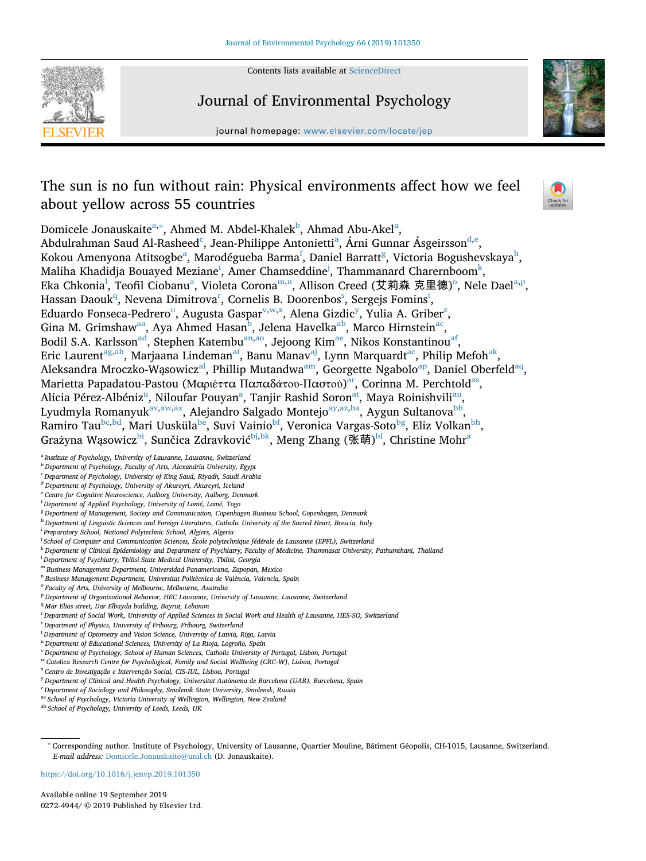

Contents lists available at [ScienceDirect](http://www.sciencedirect.com/science/journal/02724944)

# Journal of Environmental Psychology



journal homepage: [www.elsevier.com/locate/jep](https://www.elsevier.com/locate/jep)

# The sun is no fun without rain: Physical environments affect how we feel about yellow across 55 countries



Domicele Jonauskaite<sup>a,[∗](#page-0-1)</sup>, Ahmed M. Abdel-Kh[a](#page-0-0)lek<sup>b</sup>, Ahmad Abu-Akel<sup>a</sup>, Abdulrahman Saud Al-Rasheed<sup>[c](#page-0-3)</sup>, Je[a](#page-0-0)n-Philippe Antonietti<sup>a</sup>, Árni Gunnar Ásgeirsson<sup>[d](#page-0-4)[,e](#page-0-5)</sup>, Kokou Amenyona Atitsogbe<sup>a</sup>, Marodégueba Barma<sup>[f](#page-0-6)</sup>, Daniel Barratt<sup>[g](#page-0-7)</sup>, Victoria Bogus[h](#page-0-8)evskaya<sup>h</sup>, Mal[i](#page-0-9)ha Khadid[j](#page-0-10)a Bouayed Meziane $^{\rm i}$ , Amer Chamseddine $^{\rm j}$ , Thammanard Charernboom $^{\rm k}$  $^{\rm k}$  $^{\rm k}$ , Eka Chkonia<sup>[l](#page-0-12)</sup>, Teofil Ciob[a](#page-0-0)[n](#page-0-14)u<sup>a</sup>, Vi[o](#page-0-15)leta Corona<sup>m,n</sup>, Allison Creed (艾莉森 克里德)<sup>o</sup>, Nele Dael<sup>[a,](#page-0-0)[p](#page-0-16)</sup>, Hassan Daouk<sup>q</sup>, Nevena Dimit[r](#page-0-18)ova<[s](#page-0-19)up>r</sup>, Cornelis B. Doorenbos<sup>s</sup>, Sergejs Fomins<sup>[t](#page-0-20)</sup>, Ed[u](#page-0-21)ardo Fonseca-Pedrero<sup>u</sup>, Augusta Gaspar<sup>v[,w,](#page-0-23)[x](#page-0-24)</sup>, Alena Gizdic<sup>y</sup>, Yulia A. Griber<sup>z</sup>, Gina M. Grimshaw<sup>[aa](#page-0-27)</sup>, Aya Ahmed Hasan<sup>b</sup>, Jelena Havelka<sup>ab</sup>, Marco Hirnstein<sup>[ac](#page-1-0)</sup>, Bodil S.A. Karlsson<sup>ad</sup>, Stephen Katembu<sup>[an](#page-1-2),ao</sup>, Jejoong Kim<sup>ae</sup>, Nikos Konstantinou<sup>[af](#page-1-5)</sup>, Eric Laurent<sup>[ag,](#page-1-6)[ah](#page-1-7)</sup>, Marjaana Lindeman<sup>[ai](#page-1-8)</sup>, Banu Manav<sup>aj</sup>, Lynn Marquardt<sup>ac</sup>, Philip Mefoh<sup>ak</sup>, Aleksandra Mroczko-Wąsowicz<sup>al</sup>, Phillip Mutandwa<sup>am</sup>, Georgette Ngabolo<sup>ap</sup>, Daniel Oberfeld<sup>[aq](#page-1-14)</sup>, M[ar](#page-1-15)ietta Papadatou-Pastou (Μαριέττα Παπαδάτου-Παστού)<sup>ar</sup>, Corinna M. Perchtold<sup>as</sup>, Alicia Pérez-Albéniz<sup>u</sup>, Niloufar Pouyan<sup>a</sup>, Tanjir Rashid Soron<sup>[at](#page-1-17)</sup>, Maya Roinishvili<sup>au</sup>, Lyudmyla Romanyuk<sup>[av,](#page-1-19)[aw](#page-1-20)[,ax](#page-1-21)</sup>, Alejandro Salgado Montejo<sup>[ay](#page-1-22)[,az](#page-1-23),ba</sup>, Aygun Sultanova<sup>bb</sup>, Ramiro Tau<sup>bc[,bd](#page-1-27)</sup>, Mari Uusküla<sup>be</sup>, Suvi Vainio<sup>bf</sup>, Veronica Vargas-Soto<sup>bg</sup>, Eliz Volkan<sup>bh</sup>, Grażyna Wąsowicz<sup>[bi](#page-1-32)</sup>, Sunčica Zdravković<sup>bj,bk</sup>, Meng Zhang (张萌)<sup>[bl](#page-1-35)</sup>, Christine Mohr<sup>a</sup>

- <span id="page-0-0"></span><sup>a</sup> *Institute of Psychology, University of Lausanne, Lausanne, Switzerland*
- <span id="page-0-2"></span><sup>b</sup> Department of Psychology, Faculty of Arts, Alexandria University, Egypt
- <span id="page-0-3"></span><sup>c</sup> *Department of Psychology, University of King Saud, Riyadh, Saudi Arabia*
- <span id="page-0-4"></span><sup>d</sup> *Department of Psychology, University of Akureyri, Akureyri, Iceland*
- <span id="page-0-5"></span><sup>e</sup> *Centre for Cognitive Neuroscience, Aalborg University, Aalborg, Denmark*
- <span id="page-0-6"></span>f *Department of Applied Psychology, University of Lomé, Lomé, Togo*
- <span id="page-0-7"></span><sup>g</sup> *Department of Management, Society and Communication, Copenhagen Business School, Copenhagen, Denmark*
- <span id="page-0-8"></span><sup>h</sup> *Department of Linguistic Sciences and Foreign Literatures, Catholic University of the Sacred Heart, Brescia, Italy*
- <span id="page-0-9"></span>i *Preparatory School, National Polytechnic School, Algiers, Algeria*
- <span id="page-0-10"></span>j *School of Computer and Communication Sciences, École polytechnique fédérale de Lausanne (EPFL), Switzerland*
- <span id="page-0-11"></span><sup>k</sup> *Department of Clinical Epidemiology and Department of Psychiatry, Faculty of Medicine, Thammasat University, Pathumthani, Thailand*
- <span id="page-0-12"></span>l *Department of Psychiatry, Tbilisi State Medical University, Tbilisi, Georgia*
- <span id="page-0-13"></span><sup>m</sup> *Business Management Department, Universidad Panamericana, Zapopan, Mexico*
- <span id="page-0-14"></span><sup>n</sup> *Business Management Department, Universitat Politècnica de València, Valencia, Spain*
- <span id="page-0-15"></span><sup>o</sup> *Faculty of Arts, University of Melbourne, Melbourne, Australia*
- <span id="page-0-16"></span><sup>p</sup> *Department of Organizational Behavior, HEC Lausanne, University of Lausanne, Lausanne, Switzerland*
- <span id="page-0-17"></span><sup>q</sup> *Mar Elias street, Dar Elbayda building, Bayrut, Lebanon*
- <span id="page-0-18"></span>r *Department of Social Work, University of Applied Sciences in Social Work and Health of Lausanne, HES-SO, Switzerland*
- <span id="page-0-19"></span>s *Department of Physics, University of Fribourg, Fribourg, Switzerland*
- <span id="page-0-20"></span>t *Department of Optometry and Vision Science, University of Latvia, Riga, Latvia*
- <span id="page-0-21"></span><sup>u</sup> *Department of Educational Sciences, University of La Rioja, Logroño, Spain*
- <span id="page-0-22"></span><sup>v</sup> *Department of Psychology, School of Human Sciences, Catholic University of Portugal, Lisbon, Portugal*
- <span id="page-0-23"></span><sup>w</sup> *Catolica Research Centre for Psychological, Family and Social Wellbeing (CRC-W), Lisboa, Portugal*
- <span id="page-0-24"></span><sup>x</sup> *Centro de Investigação e Intervenção Social, CIS-IUL, Lisboa, Portugal*
- <span id="page-0-25"></span><sup>y</sup> *Department of Clinical and Health Psychology, Universitat Autònoma de Barcelona (UAB), Barcelona, Spain*
- <span id="page-0-26"></span><sup>z</sup> *Department of Sociology and Philosophy, Smolensk State University, Smolensk, Russia*
- <span id="page-0-27"></span>aa School of Psychology, Victoria University of Wellington, Wellington, New Zealand

<span id="page-0-28"></span>ab *School of Psychology, University of Leeds, Leeds, UK*

<https://doi.org/10.1016/j.jenvp.2019.101350>

Available online 19 September 2019 0272-4944/ © 2019 Published by Elsevier Ltd.

<span id="page-0-1"></span><sup>∗</sup> Corresponding author. Institute of Psychology, University of Lausanne, Quartier Mouline, Bâtiment Géopolis, CH-1015, Lausanne, Switzerland. *E-mail address:* [Domicele.Jonauskaite@unil.ch](mailto:Domicele.Jonauskaite@unil.ch) (D. Jonauskaite).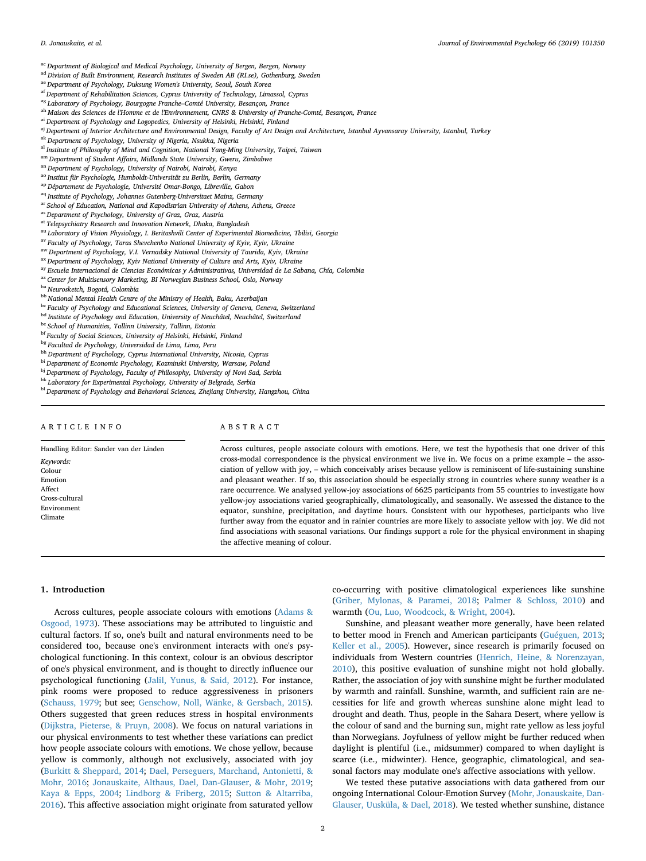- <span id="page-1-0"></span>ac *Department of Biological and Medical Psychology, University of Bergen, Bergen, Norway*
- <span id="page-1-1"></span>ad *Division of Built Environment, Research Institutes of Sweden AB (RI.se), Gothenburg, Sweden*
- <span id="page-1-4"></span>ae *Department of Psychology, Duksung Women's University, Seoul, South Korea*
- <span id="page-1-5"></span>af *Department of Rehabilitation Sciences, Cyprus University of Technology, Limassol, Cyprus*
- <span id="page-1-6"></span>ag *Laboratory of Psychology, Bourgogne Franche–Comté University, Besançon, France*
- <span id="page-1-7"></span>ah *Maison des Sciences de l'Homme et de l'Environnement, CNRS & University of Franche-Comté, Besançon, France*
- <span id="page-1-8"></span>ai *Department of Psychology and Logopedics, University of Helsinki, Helsinki, Finland*
- <span id="page-1-9"></span>aj *Department of Interior Architecture and Environmental Design, Faculty of Art Design and Architecture, Istanbul Ayvansaray University, Istanbul, Turkey*
- <span id="page-1-10"></span>ak *Department of Psychology, University of Nigeria, Nsukka, Nigeria*
- <span id="page-1-11"></span>al *Institute of Philosophy of Mind and Cognition, National Yang-Ming University, Taipei, Taiwan*
- <span id="page-1-12"></span>am *Department of Student Affairs, Midlands State University, Gweru, Zimbabwe*
- <span id="page-1-2"></span>an *Department of Psychology, University of Nairobi, Nairobi, Kenya*
- <span id="page-1-3"></span>ao *Institut für Psychologie, Humboldt-Universität zu Berlin, Berlin, Germany*
- <span id="page-1-13"></span>ap *Département de Psychologie, Université Omar-Bongo, Libreville, Gabon*
- <span id="page-1-14"></span>aq *Institute of Psychology, Johannes Gutenberg-Universitaet Mainz, Germany*
- <span id="page-1-15"></span>ar *School of Education, National and Kapodistrian University of Athens, Athens, Greece*
- <span id="page-1-16"></span>as *Department of Psychology, University of Graz, Graz, Austria*
- <span id="page-1-17"></span>at *Telepsychiatry Research and Innovation Network, Dhaka, Bangladesh*
- <span id="page-1-18"></span>au *Laboratory of Vision Physiology, I. Beritashvili Center of Experimental Biomedicine, Tbilisi, Georgia*
- <span id="page-1-19"></span>av *Faculty of Psychology, Taras Shevchenko National University of Kyiv, Kyiv, Ukraine*
- <span id="page-1-20"></span>aw *Department of Psychology, V.I. Vernadsky National University of Taurida, Kyiv, Ukraine*
- <span id="page-1-21"></span>ax *Department of Psychology, Kyiv National University of Culture and Arts, Kyiv, Ukraine*
- <span id="page-1-22"></span>ay *Escuela Internacional de Ciencias Económicas y Administrativas, Universidad de La Sabana, Chía, Colombia*
- <span id="page-1-23"></span>az *Center for Multisensory Marketing, BI Norwegian Business School, Oslo, Norway*
- <span id="page-1-24"></span>ba *Neurosketch, Bogotá, Colombia*
- <span id="page-1-25"></span>bb *National Mental Health Centre of the Ministry of Health, Baku, Azerbaijan*
- <span id="page-1-26"></span>bc *Faculty of Psychology and Educational Sciences, University of Geneva, Geneva, Switzerland*
- <span id="page-1-27"></span>bd *Institute of Psychology and Education, University of Neuchâtel, Neuchâtel, Switzerland*
- <span id="page-1-28"></span>be *School of Humanities, Tallinn University, Tallinn, Estonia*
- <span id="page-1-29"></span>bf *Faculty of Social Sciences, University of Helsinki, Helsinki, Finland*
- <span id="page-1-30"></span>bg *Facultad de Psychology, Universidad de Lima, Lima, Peru*
- <span id="page-1-31"></span>bh *Department of Psychology, Cyprus International University, Nicosia, Cyprus*
- <span id="page-1-32"></span>bi *Department of Economic Psychology, Kozminski University, Warsaw, Poland*
- <span id="page-1-33"></span>bj *Department of Psychology, Faculty of Philosophy, University of Novi Sad, Serbia*
- <span id="page-1-34"></span>bk *Laboratory for Experimental Psychology, University of Belgrade, Serbia*
- <span id="page-1-35"></span>bl *Department of Psychology and Behavioral Sciences, Zhejiang University, Hangzhou, China*

# ARTICLE INFO

ABSTRACT

Handling Editor: Sander van der Linden *Keywords:* Colour Emotion Affect Cross-cultural Environment Climate

Across cultures, people associate colours with emotions. Here, we test the hypothesis that one driver of this cross-modal correspondence is the physical environment we live in. We focus on a prime example – the association of yellow with joy, – which conceivably arises because yellow is reminiscent of life-sustaining sunshine and pleasant weather. If so, this association should be especially strong in countries where sunny weather is a rare occurrence. We analysed yellow-joy associations of 6625 participants from 55 countries to investigate how yellow-joy associations varied geographically, climatologically, and seasonally. We assessed the distance to the equator, sunshine, precipitation, and daytime hours. Consistent with our hypotheses, participants who live further away from the equator and in rainier countries are more likely to associate yellow with joy. We did not find associations with seasonal variations. Our findings support a role for the physical environment in shaping the affective meaning of colour.

#### **1. Introduction**

Across cultures, people associate colours with emotions [\(Adams &](#page-5-0) [Osgood, 1973\)](#page-5-0). These associations may be attributed to linguistic and cultural factors. If so, one's built and natural environments need to be considered too, because one's environment interacts with one's psychological functioning. In this context, colour is an obvious descriptor of one's physical environment, and is thought to directly influence our psychological functioning [\(Jalil, Yunus, & Said, 2012](#page-5-1)). For instance, pink rooms were proposed to reduce aggressiveness in prisoners ([Schauss, 1979](#page-6-0); but see; [Genschow, Noll, Wänke, & Gersbach, 2015](#page-5-2)). Others suggested that green reduces stress in hospital environments ([Dijkstra, Pieterse, & Pruyn, 2008](#page-5-3)). We focus on natural variations in our physical environments to test whether these variations can predict how people associate colours with emotions. We chose yellow, because yellow is commonly, although not exclusively, associated with joy ([Burkitt & Sheppard, 2014;](#page-5-4) [Dael, Perseguers, Marchand, Antonietti, &](#page-5-5) [Mohr, 2016](#page-5-5); [Jonauskaite, Althaus, Dael, Dan-Glauser, & Mohr, 2019](#page-5-6); [Kaya & Epps, 2004;](#page-5-7) [Lindborg & Friberg, 2015;](#page-6-1) [Sutton & Altarriba,](#page-6-2) [2016\)](#page-6-2). This affective association might originate from saturated yellow co-occurring with positive climatological experiences like sunshine ([Griber, Mylonas, & Paramei, 2018;](#page-5-8) [Palmer & Schloss, 2010\)](#page-6-3) and warmth ([Ou, Luo, Woodcock, & Wright, 2004\)](#page-6-4).

Sunshine, and pleasant weather more generally, have been related to better mood in French and American participants [\(Guéguen, 2013](#page-5-9); [Keller et al., 2005](#page-5-10)). However, since research is primarily focused on individuals from Western countries ([Henrich, Heine, & Norenzayan,](#page-5-11) [2010\)](#page-5-11), this positive evaluation of sunshine might not hold globally. Rather, the association of joy with sunshine might be further modulated by warmth and rainfall. Sunshine, warmth, and sufficient rain are necessities for life and growth whereas sunshine alone might lead to drought and death. Thus, people in the Sahara Desert, where yellow is the colour of sand and the burning sun, might rate yellow as less joyful than Norwegians. Joyfulness of yellow might be further reduced when daylight is plentiful (i.e., midsummer) compared to when daylight is scarce (i.e., midwinter). Hence, geographic, climatological, and seasonal factors may modulate one's affective associations with yellow.

We tested these putative associations with data gathered from our ongoing International Colour-Emotion Survey ([Mohr, Jonauskaite, Dan-](#page-6-5)[Glauser, Uusküla, & Dael, 2018](#page-6-5)). We tested whether sunshine, distance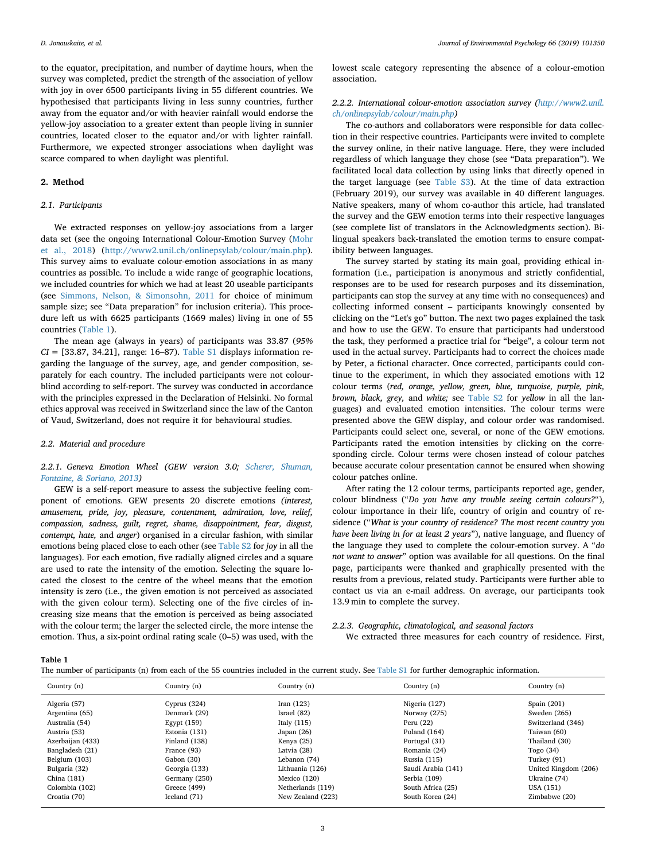to the equator, precipitation, and number of daytime hours, when the survey was completed, predict the strength of the association of yellow with joy in over 6500 participants living in 55 different countries. We hypothesised that participants living in less sunny countries, further away from the equator and/or with heavier rainfall would endorse the yellow-joy association to a greater extent than people living in sunnier countries, located closer to the equator and/or with lighter rainfall. Furthermore, we expected stronger associations when daylight was scarce compared to when daylight was plentiful.

# **2. Method**

# *2.1. Participants*

We extracted responses on yellow-joy associations from a larger data set (see the ongoing International Colour-Emotion Survey ([Mohr](#page-6-5) [et al., 2018\)](#page-6-5) (<http://www2.unil.ch/onlinepsylab/colour/main.php>). This survey aims to evaluate colour-emotion associations in as many countries as possible. To include a wide range of geographic locations, we included countries for which we had at least 20 useable participants (see [Simmons, Nelson, & Simonsohn, 2011](#page-6-6) for choice of minimum sample size; see "Data preparation" for inclusion criteria). This procedure left us with 6625 participants (1669 males) living in one of 55 countries ([Table 1](#page-2-0)).

The mean age (always in years) of participants was 33.87 (*95%*  $CI = [33.87, 34.21]$ , range: 16–87). Table S1 displays information regarding the language of the survey, age, and gender composition, separately for each country. The included participants were not colourblind according to self-report. The survey was conducted in accordance with the principles expressed in the Declaration of Helsinki. No formal ethics approval was received in Switzerland since the law of the Canton of Vaud, Switzerland, does not require it for behavioural studies.

# *2.2. Material and procedure*

# *2.2.1. Geneva Emotion Wheel (GEW version 3.0; [Scherer, Shuman,](#page-6-7) [Fontaine, & Soriano, 2013\)](#page-6-7)*

GEW is a self-report measure to assess the subjective feeling component of emotions. GEW presents 20 discrete emotions *(interest, amusement, pride, joy, pleasure, contentment, admiration, love, relief, compassion, sadness, guilt, regret, shame, disappointment, fear, disgust, contempt, hate,* and *anger*) organised in a circular fashion, with similar emotions being placed close to each other (see Table S2 for *joy* in all the languages). For each emotion, five radially aligned circles and a square are used to rate the intensity of the emotion. Selecting the square located the closest to the centre of the wheel means that the emotion intensity is zero (i.e., the given emotion is not perceived as associated with the given colour term). Selecting one of the five circles of increasing size means that the emotion is perceived as being associated with the colour term; the larger the selected circle, the more intense the emotion. Thus, a six-point ordinal rating scale (0–5) was used, with the

lowest scale category representing the absence of a colour-emotion association.

# *2.2.2. International colour-emotion association survey [\(http://www2.unil.](http://www2.unil.ch/onlinepsylab/colour/main.php) [ch/onlinepsylab/colour/main.php\)](http://www2.unil.ch/onlinepsylab/colour/main.php)*

The co-authors and collaborators were responsible for data collection in their respective countries. Participants were invited to complete the survey online, in their native language. Here, they were included regardless of which language they chose (see "Data preparation"). We facilitated local data collection by using links that directly opened in the target language (see Table S3). At the time of data extraction (February 2019), our survey was available in 40 different languages. Native speakers, many of whom co-author this article, had translated the survey and the GEW emotion terms into their respective languages (see complete list of translators in the Acknowledgments section). Bilingual speakers back-translated the emotion terms to ensure compatibility between languages.

The survey started by stating its main goal, providing ethical information (i.e., participation is anonymous and strictly confidential, responses are to be used for research purposes and its dissemination, participants can stop the survey at any time with no consequences) and collecting informed consent – participants knowingly consented by clicking on the "Let's go" button. The next two pages explained the task and how to use the GEW. To ensure that participants had understood the task, they performed a practice trial for "beige", a colour term not used in the actual survey. Participants had to correct the choices made by Peter, a fictional character. Once corrected, participants could continue to the experiment, in which they associated emotions with 12 colour terms (*red, orange, yellow, green, blue, turquoise, purple, pink, brown, black, grey,* and *white;* see Table S2 for *yellow* in all the languages) and evaluated emotion intensities. The colour terms were presented above the GEW display, and colour order was randomised. Participants could select one, several, or none of the GEW emotions. Participants rated the emotion intensities by clicking on the corresponding circle. Colour terms were chosen instead of colour patches because accurate colour presentation cannot be ensured when showing colour patches online.

After rating the 12 colour terms, participants reported age, gender, colour blindness ("*Do you have any trouble seeing certain colours?*"), colour importance in their life, country of origin and country of residence ("*What is your country of residence? The most recent country you have been living in for at least 2 years*"), native language, and fluency of the language they used to complete the colour-emotion survey. A "*do not want to answer*" option was available for all questions. On the final page, participants were thanked and graphically presented with the results from a previous, related study. Participants were further able to contact us via an e-mail address. On average, our participants took 13.9 min to complete the survey.

### *2.2.3. Geographic, climatological, and seasonal factors*

We extracted three measures for each country of residence. First,

<span id="page-2-0"></span>**Table 1**

|  | The number of participants (n) from each of the 55 countries included in the current study. See Table S1 for further demographic information. |
|--|-----------------------------------------------------------------------------------------------------------------------------------------------|
|  |                                                                                                                                               |

| Country (n)      | Country (n)    | Country (n)       | Country (n)        | Country (n)          |
|------------------|----------------|-------------------|--------------------|----------------------|
| Algeria (57)     | Cyprus $(324)$ | Iran $(123)$      | Nigeria (127)      | Spain $(201)$        |
| Argentina (65)   | Denmark (29)   | Israel (82)       | Norway (275)       | Sweden (265)         |
| Australia (54)   | Egypt $(159)$  | Italy $(115)$     | Peru $(22)$        | Switzerland (346)    |
| Austria (53)     | Estonia (131)  | Japan $(26)$      | Poland (164)       | Taiwan (60)          |
| Azerbaijan (433) | Finland (138)  | Kenya (25)        | Portugal (31)      | Thailand (30)        |
| Bangladesh (21)  | France (93)    | Latvia (28)       | Romania (24)       | Togo (34)            |
| Belgium (103)    | Gabon (30)     | Lebanon (74)      | Russia (115)       | Turkey (91)          |
| Bulgaria (32)    | Georgia (133)  | Lithuania (126)   | Saudi Arabia (141) | United Kingdom (206) |
| China (181)      | Germany (250)  | Mexico $(120)$    | Serbia (109)       | Ukraine (74)         |
| Colombia (102)   | Greece (499)   | Netherlands (119) | South Africa (25)  | USA (151)            |
| Croatia (70)     | Iceland (71)   | New Zealand (223) | South Korea (24)   | Zimbabwe (20)        |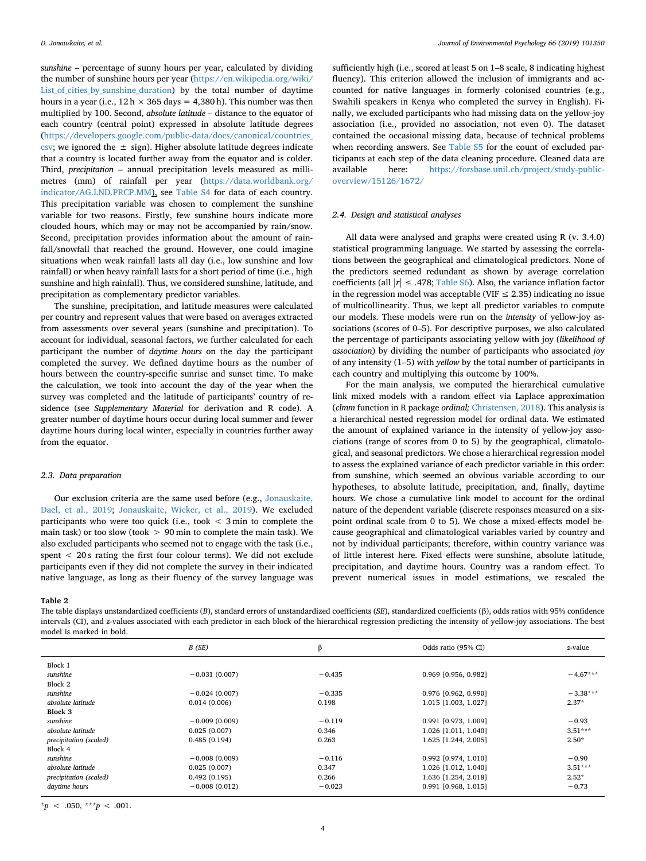s*unshine* – percentage of sunny hours per year, calculated by dividing the number of sunshine hours per year ([https://en.wikipedia.org/wiki/](https://en.wikipedia.org/wiki/List_of_cities_by_sunshine_duration) [List\\_of\\_cities\\_by\\_sunshine\\_duration](https://en.wikipedia.org/wiki/List_of_cities_by_sunshine_duration)) by the total number of daytime hours in a year (i.e.,  $12 h \times 365$  days = 4,380 h). This number was then multiplied by 100. Second, *absolute latitude* – distance to the equator of each country (central point) expressed in absolute latitude degrees ([https://developers.google.com/public-data/docs/canonical/countries\\_](https://developers.google.com/public-data/docs/canonical/countries_csv) [csv;](https://developers.google.com/public-data/docs/canonical/countries_csv) we ignored the  $\pm$  sign). Higher absolute latitude degrees indicate that a country is located further away from the equator and is colder. Third, *precipitation* – annual precipitation levels measured as millimetres (mm) of rainfall per year ([https://data.worldbank.org/](https://data.worldbank.org/indicator/AG.LND.PRCP.MM) [indicator/AG.LND.PRCP.MM\)](https://data.worldbank.org/indicator/AG.LND.PRCP.MM), see Table S4 for data of each country. This precipitation variable was chosen to complement the sunshine variable for two reasons. Firstly, few sunshine hours indicate more clouded hours, which may or may not be accompanied by rain/snow. Second, precipitation provides information about the amount of rainfall/snowfall that reached the ground. However, one could imagine situations when weak rainfall lasts all day (i.e., low sunshine and low rainfall) or when heavy rainfall lasts for a short period of time (i.e., high sunshine and high rainfall). Thus, we considered sunshine, latitude, and precipitation as complementary predictor variables.

The sunshine, precipitation, and latitude measures were calculated per country and represent values that were based on averages extracted from assessments over several years (sunshine and precipitation). To account for individual, seasonal factors, we further calculated for each participant the number of *daytime hours* on the day the participant completed the survey. We defined daytime hours as the number of hours between the country-specific sunrise and sunset time. To make the calculation, we took into account the day of the year when the survey was completed and the latitude of participants' country of residence (see *Supplementary Material* for derivation and R code). A greater number of daytime hours occur during local summer and fewer daytime hours during local winter, especially in countries further away from the equator.

# *2.3. Data preparation*

Our exclusion criteria are the same used before (e.g., [Jonauskaite,](#page-5-12) [Dael, et al., 2019](#page-5-12); [Jonauskaite, Wicker, et al., 2019](#page-5-13)). We excluded participants who were too quick (i.e., took  $\leq$  3 min to complete the main task) or too slow (took  $> 90$  min to complete the main task). We also excluded participants who seemed not to engage with the task (i.e., spent < 20 s rating the first four colour terms). We did not exclude participants even if they did not complete the survey in their indicated native language, as long as their fluency of the survey language was

sufficiently high (i.e., scored at least 5 on 1–8 scale, 8 indicating highest fluency). This criterion allowed the inclusion of immigrants and accounted for native languages in formerly colonised countries (e.g., Swahili speakers in Kenya who completed the survey in English). Finally, we excluded participants who had missing data on the yellow-joy association (i.e., provided no association, not even 0). The dataset contained the occasional missing data, because of technical problems when recording answers. See Table S5 for the count of excluded participants at each step of the data cleaning procedure. Cleaned data are available here: [https://forsbase.unil.ch/project/study-public](https://forsbase.unil.ch/project/study-public-overview/15126/1672/)[overview/15126/1672/](https://forsbase.unil.ch/project/study-public-overview/15126/1672/)

# *2.4. Design and statistical analyses*

All data were analysed and graphs were created using R (v. 3.4.0) statistical programming language. We started by assessing the correlations between the geographical and climatological predictors. None of the predictors seemed redundant as shown by average correlation coefficients (all  $|r| \leq .478$ ; Table S<sub>6</sub>). Also, the variance inflation factor in the regression model was acceptable (VIF  $\leq$  2.35) indicating no issue of multicollinearity. Thus, we kept all predictor variables to compute our models. These models were run on the *intensity* of yellow-joy associations (scores of 0–5). For descriptive purposes, we also calculated the percentage of participants associating yellow with joy (*likelihood of association*) by dividing the number of participants who associated *joy* of any intensity (1–5) with *yellow* by the total number of participants in each country and multiplying this outcome by 100%.

For the main analysis, we computed the hierarchical cumulative link mixed models with a random effect via Laplace approximation (*clmm* function in R package *ordinal;* [Christensen, 2018](#page-5-14)). This analysis is a hierarchical nested regression model for ordinal data. We estimated the amount of explained variance in the intensity of yellow-joy associations (range of scores from 0 to 5) by the geographical, climatological, and seasonal predictors. We chose a hierarchical regression model to assess the explained variance of each predictor variable in this order: from sunshine, which seemed an obvious variable according to our hypotheses, to absolute latitude, precipitation, and, finally, daytime hours. We chose a cumulative link model to account for the ordinal nature of the dependent variable (discrete responses measured on a sixpoint ordinal scale from 0 to 5). We chose a mixed-effects model because geographical and climatological variables varied by country and not by individual participants; therefore, within country variance was of little interest here. Fixed effects were sunshine, absolute latitude, precipitation, and daytime hours. Country was a random effect. To prevent numerical issues in model estimations, we rescaled the

# <span id="page-3-0"></span>**Table 2**

The table displays unstandardized coefficients (*B*), standard errors of unstandardized coefficients (*SE*), standardized coefficients (β), odds ratios with 95% confidence intervals (CI), and *z*-values associated with each predictor in each block of the hierarchical regression predicting the intensity of yellow-joy associations. The best model is marked in bold.

|                        | B(SE)           | β        | Odds ratio (95% CI)  | z-value    |
|------------------------|-----------------|----------|----------------------|------------|
| Block 1                |                 |          |                      |            |
| sunshine               | $-0.031(0.007)$ | $-0.435$ | 0.969 [0.956, 0.982] | $-4.67***$ |
| Block 2                |                 |          |                      |            |
| sunshine               | $-0.024(0.007)$ | $-0.335$ | 0.976 [0.962, 0.990] | $-3.38***$ |
| absolute latitude      | 0.014(0.006)    | 0.198    | 1.015 [1.003, 1.027] | $2.37*$    |
| <b>Block 3</b>         |                 |          |                      |            |
| sunshine               | $-0.009(0.009)$ | $-0.119$ | 0.991 [0.973, 1.009] | $-0.93$    |
| absolute latitude      | 0.025(0.007)    | 0.346    | 1.026 [1.011, 1.040] | $3.51***$  |
| precipitation (scaled) | 0.485(0.194)    | 0.263    | 1.625 [1.244, 2.005] | $2.50*$    |
| Block 4                |                 |          |                      |            |
| sunshine               | $-0.008(0.009)$ | $-0.116$ | 0.992 [0.974, 1.010] | $-0.90$    |
| absolute latitude      | 0.025(0.007)    | 0.347    | 1.026 [1.012, 1.040] | $3.51***$  |
| precipitation (scaled) | 0.492(0.195)    | 0.266    | 1.636 [1.254, 2.018] | $2.52*$    |
| daytime hours          | $-0.008(0.012)$ | $-0.023$ | 0.991 [0.968, 1.015] | $-0.73$    |

 $*_{p}$  < .050, \*\*\**p* < .001.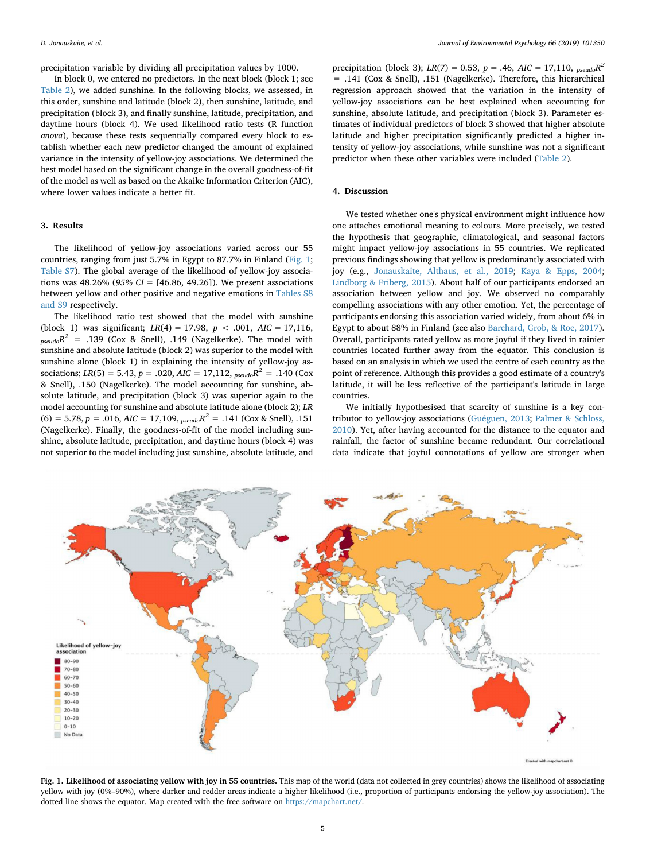precipitation variable by dividing all precipitation values by 1000.

In block 0, we entered no predictors. In the next block (block 1; see [Table 2\)](#page-3-0), we added sunshine. In the following blocks, we assessed, in this order, sunshine and latitude (block 2), then sunshine, latitude, and precipitation (block 3), and finally sunshine, latitude, precipitation, and daytime hours (block 4). We used likelihood ratio tests (R function *anova*), because these tests sequentially compared every block to establish whether each new predictor changed the amount of explained variance in the intensity of yellow-joy associations. We determined the best model based on the significant change in the overall goodness-of-fit of the model as well as based on the Akaike Information Criterion (AIC), where lower values indicate a better fit.

# **3. Results**

The likelihood of yellow-joy associations varied across our 55 countries, ranging from just 5.7% in Egypt to 87.7% in Finland [\(Fig. 1](#page-4-0); Table S7). The global average of the likelihood of yellow-joy associations was 48.26% (*95% CI* = [46.86, 49.26]). We present associations between yellow and other positive and negative emotions in Tables S8 and S9 respectively.

The likelihood ratio test showed that the model with sunshine (block 1) was significant; *LR*(4) = 17.98, *p* < .001, *AIC* = 17,116,  $p_{seudo}R^2$  = .139 (Cox & Snell), .149 (Nagelkerke). The model with sunshine and absolute latitude (block 2) was superior to the model with sunshine alone (block 1) in explaining the intensity of yellow-joy associations;  $LR(5) = 5.43$ ,  $p = .020$ ,  $AIC = 17,112$ ,  $_{pseudo}R^2 = .140$  (Cox & Snell), .150 (Nagelkerke). The model accounting for sunshine, absolute latitude, and precipitation (block 3) was superior again to the model accounting for sunshine and absolute latitude alone (block 2); *LR*  $(6) = 5.78$ ,  $p = .016$ ,  $AIC = 17,109$ ,  $_{pseudo}R^2 = .141$  (Cox & Snell), .151 (Nagelkerke). Finally, the goodness-of-fit of the model including sunshine, absolute latitude, precipitation, and daytime hours (block 4) was not superior to the model including just sunshine, absolute latitude, and

precipitation (block 3); *LR*(7) = 0.53, *p* = .46, *AIC* = 17,110, *pseudoR2* = .141 (Cox & Snell), .151 (Nagelkerke). Therefore, this hierarchical regression approach showed that the variation in the intensity of yellow-joy associations can be best explained when accounting for sunshine, absolute latitude, and precipitation (block 3). Parameter estimates of individual predictors of block 3 showed that higher absolute latitude and higher precipitation significantly predicted a higher intensity of yellow-joy associations, while sunshine was not a significant predictor when these other variables were included ([Table 2\)](#page-3-0).

#### **4. Discussion**

We tested whether one's physical environment might influence how one attaches emotional meaning to colours. More precisely, we tested the hypothesis that geographic, climatological, and seasonal factors might impact yellow-joy associations in 55 countries. We replicated previous findings showing that yellow is predominantly associated with joy (e.g., [Jonauskaite, Althaus, et al., 2019](#page-5-6); [Kaya & Epps, 2004](#page-5-7); [Lindborg & Friberg, 2015\)](#page-6-1). About half of our participants endorsed an association between yellow and joy. We observed no comparably compelling associations with any other emotion. Yet, the percentage of participants endorsing this association varied widely, from about 6% in Egypt to about 88% in Finland (see also [Barchard, Grob, & Roe, 2017](#page-5-15)). Overall, participants rated yellow as more joyful if they lived in rainier countries located further away from the equator. This conclusion is based on an analysis in which we used the centre of each country as the point of reference. Although this provides a good estimate of a country's latitude, it will be less reflective of the participant's latitude in large countries.

We initially hypothesised that scarcity of sunshine is a key contributor to yellow-joy associations [\(Guéguen, 2013;](#page-5-9) [Palmer & Schloss,](#page-6-3) [2010\)](#page-6-3). Yet, after having accounted for the distance to the equator and rainfall, the factor of sunshine became redundant. Our correlational data indicate that joyful connotations of yellow are stronger when

<span id="page-4-0"></span>

**Fig. 1. Likelihood of associating yellow with joy in 55 countries.** This map of the world (data not collected in grey countries) shows the likelihood of associating yellow with joy (0%–90%), where darker and redder areas indicate a higher likelihood (i.e., proportion of participants endorsing the yellow-joy association). The dotted line shows the equator. Map created with the free software on [https://mapchart.net/.](https://mapchart.net/)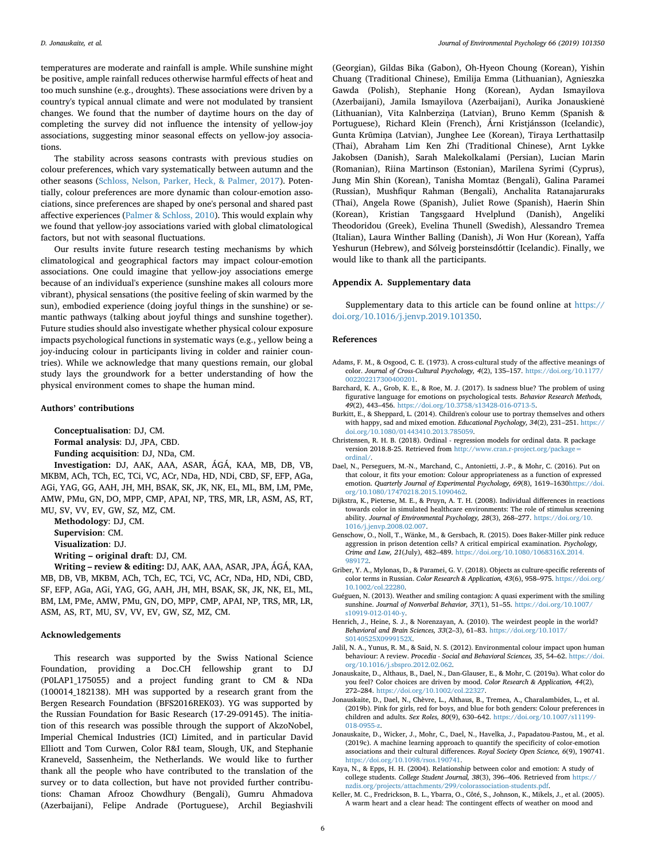temperatures are moderate and rainfall is ample. While sunshine might be positive, ample rainfall reduces otherwise harmful effects of heat and too much sunshine (e.g., droughts). These associations were driven by a country's typical annual climate and were not modulated by transient changes. We found that the number of daytime hours on the day of completing the survey did not influence the intensity of yellow-joy associations, suggesting minor seasonal effects on yellow-joy associations.

The stability across seasons contrasts with previous studies on colour preferences, which vary systematically between autumn and the other seasons [\(Schloss, Nelson, Parker, Heck, & Palmer, 2017\)](#page-6-8). Potentially, colour preferences are more dynamic than colour-emotion associations, since preferences are shaped by one's personal and shared past affective experiences ([Palmer & Schloss, 2010\)](#page-6-3). This would explain why we found that yellow-joy associations varied with global climatological factors, but not with seasonal fluctuations.

Our results invite future research testing mechanisms by which climatological and geographical factors may impact colour-emotion associations. One could imagine that yellow-joy associations emerge because of an individual's experience (sunshine makes all colours more vibrant), physical sensations (the positive feeling of skin warmed by the sun), embodied experience (doing joyful things in the sunshine) or semantic pathways (talking about joyful things and sunshine together). Future studies should also investigate whether physical colour exposure impacts psychological functions in systematic ways (e.g., yellow being a joy-inducing colour in participants living in colder and rainier countries). While we acknowledge that many questions remain, our global study lays the groundwork for a better understanding of how the physical environment comes to shape the human mind.

# **Authors' contributions**

**Conceptualisation**: DJ, CM.

**Formal analysis**: DJ, JPA, CBD.

**Funding acquisition**: DJ, NDa, CM.

**Investigation:** DJ, AAK, AAA, ASAR, ÁGÁ, KAA, MB, DB, VB, MKBM, ACh, TCh, EC, TCi, VC, ACr, NDa, HD, NDi, CBD, SF, EFP, AGa, AGi, YAG, GG, AAH, JH, MH, BSAK, SK, JK, NK, EL, ML, BM, LM, PMe, AMW, PMu, GN, DO, MPP, CMP, APAI, NP, TRS, MR, LR, ASM, AS, RT, MU, SV, VV, EV, GW, SZ, MZ, CM.

**Methodology**: DJ, CM. **Supervision**: CM.

**Visualization**: DJ.

**Writing – original draft**: DJ, CM.

**Writing – review & editing:** DJ, AAK, AAA, ASAR, JPA, ÁGÁ, KAA, MB, DB, VB, MKBM, ACh, TCh, EC, TCi, VC, ACr, NDa, HD, NDi, CBD, SF, EFP, AGa, AGi, YAG, GG, AAH, JH, MH, BSAK, SK, JK, NK, EL, ML, BM, LM, PMe, AMW, PMu, GN, DO, MPP, CMP, APAI, NP, TRS, MR, LR, ASM, AS, RT, MU, SV, VV, EV, GW, SZ, MZ, CM.

#### **Acknowledgements**

This research was supported by the Swiss National Science Foundation, providing a Doc.CH fellowship grant to DJ (P0LAP1\_175055) and a project funding grant to CM & NDa (100014\_182138). MH was supported by a research grant from the Bergen Research Foundation (BFS2016REK03). YG was supported by the Russian Foundation for Basic Research (17-29-09145). The initiation of this research was possible through the support of AkzoNobel, Imperial Chemical Industries (ICI) Limited, and in particular David Elliott and Tom Curwen, Color R&I team, Slough, UK, and Stephanie Kraneveld, Sassenheim, the Netherlands. We would like to further thank all the people who have contributed to the translation of the survey or to data collection, but have not provided further contributions: Chaman Afrooz Chowdhury (Bengali), Gumru Ahmadova (Azerbaijani), Felipe Andrade (Portuguese), Archil Begiashvili

(Georgian), Gildas Bika (Gabon), Oh-Hyeon Choung (Korean), Yishin Chuang (Traditional Chinese), Emilija Emma (Lithuanian), Agnieszka Gawda (Polish), Stephanie Hong (Korean), Aydan Ismayilova (Azerbaijani), Jamila Ismayilova (Azerbaijani), Aurika Jonauskienė (Lithuanian), Vita Kalnberziņa (Latvian), Bruno Kemm (Spanish & Portuguese), Richard Klein (French), Árni Kristjánsson (Icelandic), Gunta Krūmiņa (Latvian), Junghee Lee (Korean), Tiraya Lerthattasilp (Thai), Abraham Lim Ken Zhi (Traditional Chinese), Arnt Lykke Jakobsen (Danish), Sarah Malekolkalami (Persian), Lucian Marin (Romanian), Riina Martinson (Estonian), Marilena Syrimi (Cyprus), Jung Min Shin (Korean), Tanisha Momtaz (Bengali), Galina Paramei (Russian), Mushfiqur Rahman (Bengali), Anchalita Ratanajaruraks (Thai), Angela Rowe (Spanish), Juliet Rowe (Spanish), Haerin Shin (Korean), Kristian Tangsgaard Hvelplund (Danish), Angeliki Theodoridou (Greek), Evelina Thunell (Swedish), Alessandro Tremea (Italian), Laura Winther Balling (Danish), Ji Won Hur (Korean), Yaffa Yeshurun (Hebrew), and Sólveig þorsteinsdóttir (Icelandic). Finally, we would like to thank all the participants.

#### **Appendix A. Supplementary data**

Supplementary data to this article can be found online at [https://](https://doi.org/10.1016/j.jenvp.2019.101350) [doi.org/10.1016/j.jenvp.2019.101350.](https://doi.org/10.1016/j.jenvp.2019.101350)

#### **References**

- <span id="page-5-0"></span>Adams, F. M., & Osgood, C. E. (1973). A cross-cultural study of the affective meanings of color. *Journal of Cross-Cultural Psychology, 4*(2), 135–157. [https://doi.org/10.1177/](https://doi.org/10.1177/002202217300400201) [002202217300400201](https://doi.org/10.1177/002202217300400201).
- <span id="page-5-15"></span>Barchard, K. A., Grob, K. E., & Roe, M. J. (2017). Is sadness blue? The problem of using figurative language for emotions on psychological tests. *Behavior Research Methods, 49*(2), 443–456. [https://doi.org/10.3758/s13428-016-0713-5.](https://doi.org/10.3758/s13428-016-0713-5)
- <span id="page-5-4"></span>Burkitt, E., & Sheppard, L. (2014). Children's colour use to portray themselves and others with happy, sad and mixed emotion. *Educational Psychology, 34*(2), 231–251. [https://](https://doi.org/10.1080/01443410.2013.785059) [doi.org/10.1080/01443410.2013.785059](https://doi.org/10.1080/01443410.2013.785059).
- <span id="page-5-14"></span>Christensen, R. H. B. (2018). Ordinal - regression models for ordinal data. R package version 2018.8-25. Retrieved from [http://www.cran.r-project.org/package=](http://www.cran.r-project.org/package=ordinal/) [ordinal/.](http://www.cran.r-project.org/package=ordinal/)
- <span id="page-5-5"></span>Dael, N., Perseguers, M.-N., Marchand, C., Antonietti, J.-P., & Mohr, C. (2016). Put on that colour, it fits your emotion: Colour appropriateness as a function of expressed emotion. *Quarterly Journal of Experimental Psychology, 69*(8), 1619–1630[https://doi.](https://doi.org/10.1080/17470218.2015.1090462) [org/10.1080/17470218.2015.1090462](https://doi.org/10.1080/17470218.2015.1090462).
- <span id="page-5-3"></span>Dijkstra, K., Pieterse, M. E., & Pruyn, A. T. H. (2008). Individual differences in reactions towards color in simulated healthcare environments: The role of stimulus screening ability. *Journal of Environmental Psychology, 28*(3), 268–277. [https://doi.org/10.](https://doi.org/10.1016/j.jenvp.2008.02.007) [1016/j.jenvp.2008.02.007.](https://doi.org/10.1016/j.jenvp.2008.02.007)
- <span id="page-5-2"></span>Genschow, O., Noll, T., Wänke, M., & Gersbach, R. (2015). Does Baker-Miller pink reduce aggression in prison detention cells? A critical empirical examination. *Psychology, Crime and Law, 21*(July), 482–489. [https://doi.org/10.1080/1068316X.2014.](https://doi.org/10.1080/1068316X.2014.989172) [989172](https://doi.org/10.1080/1068316X.2014.989172).
- <span id="page-5-8"></span>Griber, Y. A., Mylonas, D., & Paramei, G. V. (2018). Objects as culture-specific referents of color terms in Russian. *Color Research & Application, 43*(6), 958–975. [https://doi.org/](https://doi.org/10.1002/col.22280) [10.1002/col.22280](https://doi.org/10.1002/col.22280).
- <span id="page-5-9"></span>Guéguen, N. (2013). Weather and smiling contagion: A quasi experiment with the smiling sunshine. *Journal of Nonverbal Behavior, 37*(1), 51–55. [https://doi.org/10.1007/](https://doi.org/10.1007/s10919-012-0140-y) [s10919-012-0140-y.](https://doi.org/10.1007/s10919-012-0140-y)
- <span id="page-5-11"></span>Henrich, J., Heine, S. J., & Norenzayan, A. (2010). The weirdest people in the world? *Behavioral and Brain Sciences, 33*(2–3), 61–83. [https://doi.org/10.1017/](https://doi.org/10.1017/S0140525X0999152X) [S0140525X0999152X](https://doi.org/10.1017/S0140525X0999152X).
- <span id="page-5-1"></span>Jalil, N. A., Yunus, R. M., & Said, N. S. (2012). Environmental colour impact upon human behaviour: A review. *Procedia - Social and Behavioral Sciences, 35*, 54–62. [https://doi.](https://doi.org/10.1016/j.sbspro.2012.02.062) [org/10.1016/j.sbspro.2012.02.062.](https://doi.org/10.1016/j.sbspro.2012.02.062)
- <span id="page-5-6"></span>Jonauskaite, D., Althaus, B., Dael, N., Dan-Glauser, E., & Mohr, C. (2019a). What color do you feel? Color choices are driven by mood. *Color Research & Application, 44*(2), 272–284. <https://doi.org/10.1002/col.22327>.
- <span id="page-5-12"></span>Jonauskaite, D., Dael, N., Chèvre, L., Althaus, B., Tremea, A., Charalambides, L., et al. (2019b). Pink for girls, red for boys, and blue for both genders: Colour preferences in children and adults. *Sex Roles, 80*(9), 630–642. [https://doi.org/10.1007/s11199-](https://doi.org/10.1007/s11199-018-0955-z) [018-0955-z.](https://doi.org/10.1007/s11199-018-0955-z)
- <span id="page-5-13"></span>Jonauskaite, D., Wicker, J., Mohr, C., Dael, N., Havelka, J., Papadatou-Pastou, M., et al. (2019c). A machine learning approach to quantify the specificity of color-emotion associations and their cultural differences. *Royal Society Open Science, 6*(9), 190741. [https://doi.org/10.1098/rsos.190741.](https://doi.org/10.1098/rsos.190741)
- <span id="page-5-7"></span>Kaya, N., & Epps, H. H. (2004). Relationship between color and emotion: A study of college students. *College Student Journal, 38*(3), 396–406. Retrieved from [https://](https://nzdis.org/projects/attachments/299/colorassociation-students.pdf) [nzdis.org/projects/attachments/299/colorassociation-students.pdf.](https://nzdis.org/projects/attachments/299/colorassociation-students.pdf)
- <span id="page-5-10"></span>Keller, M. C., Fredrickson, B. L., Ybarra, O., Côté, S., Johnson, K., Mikels, J., et al. (2005). A warm heart and a clear head: The contingent effects of weather on mood and